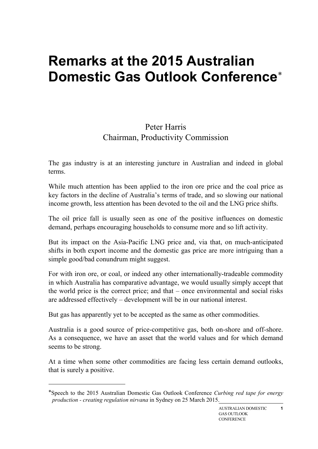## **Remarks at the 2015 Australian Domestic Gas Outlook Conference**[∗](#page-0-0)

## Peter Harris Chairman, Productivity Commission

The gas industry is at an interesting juncture in Australian and indeed in global terms.

While much attention has been applied to the iron ore price and the coal price as key factors in the decline of Australia's terms of trade, and so slowing our national income growth, less attention has been devoted to the oil and the LNG price shifts.

The oil price fall is usually seen as one of the positive influences on domestic demand, perhaps encouraging households to consume more and so lift activity.

But its impact on the Asia-Pacific LNG price and, via that, on much-anticipated shifts in both export income and the domestic gas price are more intriguing than a simple good/bad conundrum might suggest.

For with iron ore, or coal, or indeed any other internationally-tradeable commodity in which Australia has comparative advantage, we would usually simply accept that the world price is the correct price; and that – once environmental and social risks are addressed effectively – development will be in our national interest.

But gas has apparently yet to be accepted as the same as other commodities.

**.** 

Australia is a good source of price-competitive gas, both on-shore and off-shore. As a consequence, we have an asset that the world values and for which demand seems to be strong.

At a time when some other commodities are facing less certain demand outlooks, that is surely a positive.

<span id="page-0-0"></span><sup>∗</sup>Speech to the 2015 Australian Domestic Gas Outlook Conference *Curbing red tape for energy production - creating regulation nirvana* in Sydney on 25 March 2015.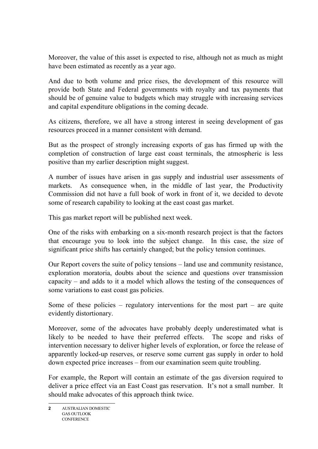Moreover, the value of this asset is expected to rise, although not as much as might have been estimated as recently as a year ago.

And due to both volume and price rises, the development of this resource will provide both State and Federal governments with royalty and tax payments that should be of genuine value to budgets which may struggle with increasing services and capital expenditure obligations in the coming decade.

As citizens, therefore, we all have a strong interest in seeing development of gas resources proceed in a manner consistent with demand.

But as the prospect of strongly increasing exports of gas has firmed up with the completion of construction of large east coast terminals, the atmospheric is less positive than my earlier description might suggest.

A number of issues have arisen in gas supply and industrial user assessments of markets. As consequence when, in the middle of last year, the Productivity Commission did not have a full book of work in front of it, we decided to devote some of research capability to looking at the east coast gas market.

This gas market report will be published next week.

One of the risks with embarking on a six-month research project is that the factors that encourage you to look into the subject change. In this case, the size of significant price shifts has certainly changed; but the policy tension continues.

Our Report covers the suite of policy tensions – land use and community resistance, exploration moratoria, doubts about the science and questions over transmission capacity – and adds to it a model which allows the testing of the consequences of some variations to east coast gas policies.

Some of these policies – regulatory interventions for the most part – are quite evidently distortionary.

Moreover, some of the advocates have probably deeply underestimated what is likely to be needed to have their preferred effects. The scope and risks of intervention necessary to deliver higher levels of exploration, or force the release of apparently locked-up reserves, or reserve some current gas supply in order to hold down expected price increases – from our examination seem quite troubling.

For example, the Report will contain an estimate of the gas diversion required to deliver a price effect via an East Coast gas reservation. It's not a small number. It should make advocates of this approach think twice.

**<sup>2</sup>** AUSTRALIAN DOMESTIC GAS OUTLOOK **CONFERENCE**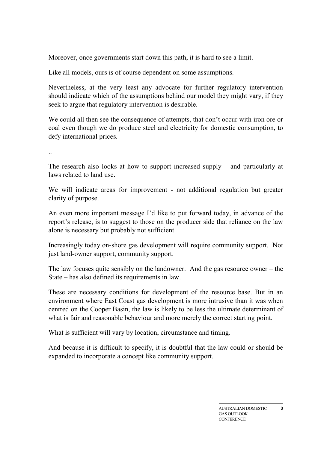Moreover, once governments start down this path, it is hard to see a limit.

Like all models, ours is of course dependent on some assumptions.

Nevertheless, at the very least any advocate for further regulatory intervention should indicate which of the assumptions behind our model they might vary, if they seek to argue that regulatory intervention is desirable.

We could all then see the consequence of attempts, that don't occur with iron ore or coal even though we do produce steel and electricity for domestic consumption, to defy international prices.

..

The research also looks at how to support increased supply – and particularly at laws related to land use.

We will indicate areas for improvement - not additional regulation but greater clarity of purpose.

An even more important message I'd like to put forward today, in advance of the report's release, is to suggest to those on the producer side that reliance on the law alone is necessary but probably not sufficient.

Increasingly today on-shore gas development will require community support. Not just land-owner support, community support.

The law focuses quite sensibly on the landowner. And the gas resource owner – the State – has also defined its requirements in law.

These are necessary conditions for development of the resource base. But in an environment where East Coast gas development is more intrusive than it was when centred on the Cooper Basin, the law is likely to be less the ultimate determinant of what is fair and reasonable behaviour and more merely the correct starting point.

What is sufficient will vary by location, circumstance and timing.

And because it is difficult to specify, it is doubtful that the law could or should be expanded to incorporate a concept like community support.

**3**